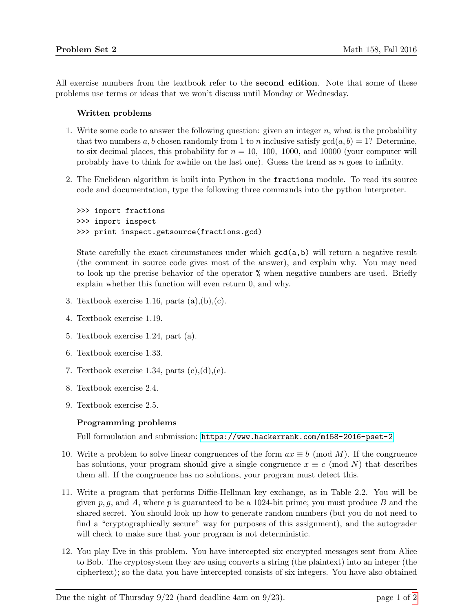All exercise numbers from the textbook refer to the second edition. Note that some of these problems use terms or ideas that we won't discuss until Monday or Wednesday.

## Written problems

- 1. Write some code to answer the following question: given an integer  $n$ , what is the probability that two numbers a, b chosen randomly from 1 to n inclusive satisfy  $gcd(a, b) = 1$ ? Determine, to six decimal places, this probability for  $n = 10, 100, 1000$ , and 10000 (your computer will probably have to think for awhile on the last one). Guess the trend as  $n$  goes to infinity.
- 2. The Euclidean algorithm is built into Python in the fractions module. To read its source code and documentation, type the following three commands into the python interpreter.

```
>>> import fractions
>>> import inspect
>>> print inspect.getsource(fractions.gcd)
```
State carefully the exact circumstances under which gcd(a,b) will return a negative result (the comment in source code gives most of the answer), and explain why. You may need to look up the precise behavior of the operator % when negative numbers are used. Briefly explain whether this function will even return 0, and why.

- 3. Textbook exercise 1.16, parts  $(a),(b),(c)$ .
- 4. Textbook exercise 1.19.
- 5. Textbook exercise 1.24, part (a).
- 6. Textbook exercise 1.33.
- 7. Textbook exercise 1.34, parts  $(c),(d),(e)$ .
- 8. Textbook exercise 2.4.
- 9. Textbook exercise 2.5.

## Programming problems

Full formulation and submission: <https://www.hackerrank.com/m158-2016-pset-2>

- 10. Write a problem to solve linear congruences of the form  $ax \equiv b \pmod{M}$ . If the congruence has solutions, your program should give a single congruence  $x \equiv c \pmod{N}$  that describes them all. If the congruence has no solutions, your program must detect this.
- 11. Write a program that performs Diffie-Hellman key exchange, as in Table 2.2. You will be given p, q, and A, where p is guaranteed to be a 1024-bit prime; you must produce B and the shared secret. You should look up how to generate random numbers (but you do not need to find a "cryptographically secure" way for purposes of this assignment), and the autograder will check to make sure that your program is not deterministic.
- 12. You play Eve in this problem. You have intercepted six encrypted messages sent from Alice to Bob. The cryptosystem they are using converts a string (the plaintext) into an integer (the ciphertext); so the data you have intercepted consists of six integers. You have also obtained